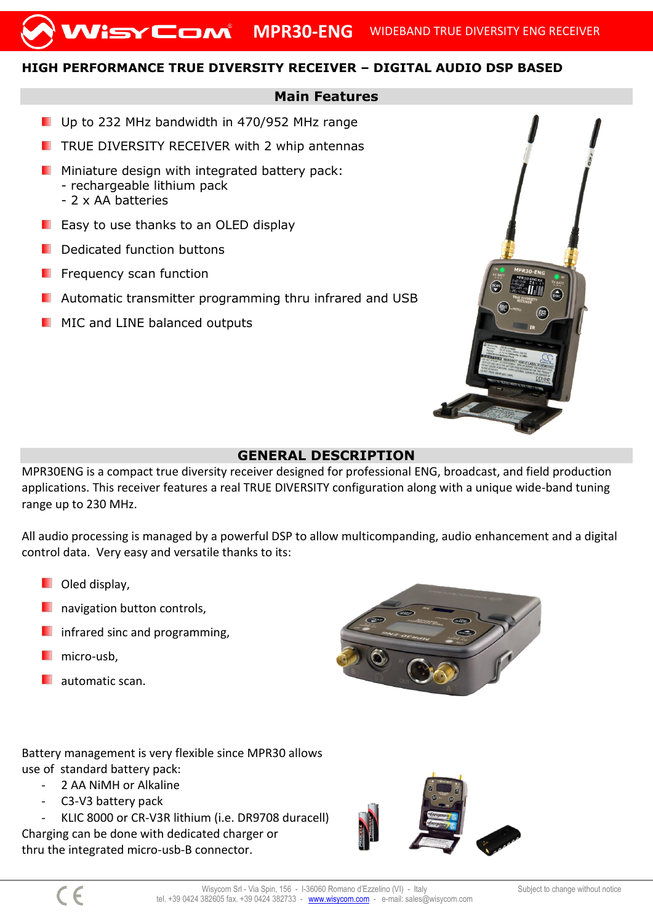## **HIGH PERFORMANCE TRUE DIVERSITY RECEIVER – DIGITAL AUDIO DSP BASED**

## **Main Features**

- Up to 232 MHz bandwidth in 470/952 MHz range
- $\blacksquare$  TRUE DIVERSITY RECEIVER with 2 whip antennas
- **Miniature design with integrated battery pack:** - rechargeable lithium pack - 2 x AA batteries
- **E** Easy to use thanks to an OLED display
- Dedicated function buttons
- Frequency scan function
- Automatic transmitter programming thru infrared and USB
- **MIC and LINE balanced outputs**



MPR30ENG is a compact true diversity receiver designed for professional ENG, broadcast, and field production applications. This receiver features a real TRUE DIVERSITY configuration along with a unique wide-band tuning range up to 230 MHz.

All audio processing is managed by a powerful DSP to allow multicompanding, audio enhancement and a digital control data. Very easy and versatile thanks to its:

- **D** Oled display.
- navigation button controls,
- infrared sinc and programming,
- micro-usb,
- automatic scan.



Battery management is very flexible since MPR30 allows use of standard battery pack:

- 2 AA NiMH or Alkaline
- C3-V3 battery pack

KLIC 8000 or CR-V3R lithium (i.e. DR9708 duracell) Charging can be done with dedicated charger or thru the integrated micro-usb-B connector.

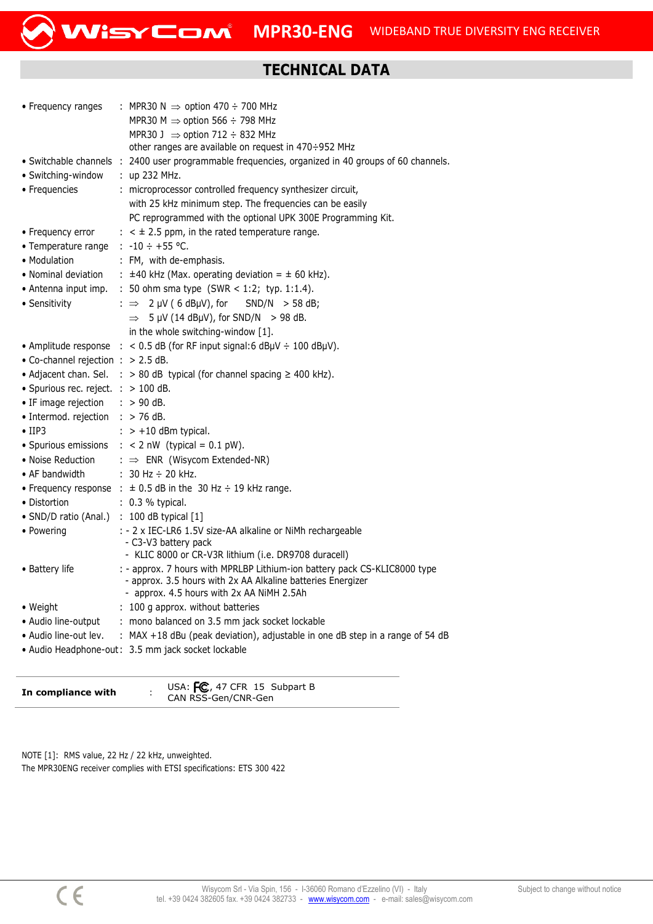## **TECHNICAL DATA**

| • Frequency ranges                          | : MPR30 N $\Rightarrow$ option 470 ÷ 700 MHz                                                                                             |
|---------------------------------------------|------------------------------------------------------------------------------------------------------------------------------------------|
|                                             | MPR30 M $\Rightarrow$ option 566 ÷ 798 MHz                                                                                               |
|                                             | MPR30 J $\Rightarrow$ option 712 $\div$ 832 MHz                                                                                          |
|                                             | other ranges are available on request in 470÷952 MHz                                                                                     |
|                                             | · Switchable channels : 2400 user programmable frequencies, organized in 40 groups of 60 channels.                                       |
| • Switching-window                          | $:$ up 232 MHz.                                                                                                                          |
| • Frequencies                               | : microprocessor controlled frequency synthesizer circuit,                                                                               |
|                                             | with 25 kHz minimum step. The frequencies can be easily                                                                                  |
|                                             | PC reprogrammed with the optional UPK 300E Programming Kit.                                                                              |
| • Frequency error                           | $\pm$ < $\pm$ 2.5 ppm, in the rated temperature range.                                                                                   |
| • Temperature range                         | : $-10 \div +55$ °C.                                                                                                                     |
| • Modulation                                | : FM, with de-emphasis.                                                                                                                  |
| • Nominal deviation                         | : $\pm$ 40 kHz (Max. operating deviation = $\pm$ 60 kHz).                                                                                |
| • Antenna input imp.                        | : 50 ohm sma type (SWR < 1:2; typ. 1:1.4).                                                                                               |
| • Sensitivity                               | : $\Rightarrow$ 2 µV (6 dBµV), for<br>$SND/N$ > 58 dB;                                                                                   |
|                                             | $\Rightarrow$ 5 µV (14 dBµV), for SND/N > 98 dB.                                                                                         |
|                                             | in the whole switching-window [1].                                                                                                       |
|                                             | • Amplitude response $\therefore$ < 0.5 dB (for RF input signal:6 dBµV $\div$ 100 dBµV).                                                 |
| • Co-channel rejection : $> 2.5$ dB.        |                                                                                                                                          |
| • Adjacent chan. Sel.                       | : $> 80$ dB typical (for channel spacing $\geq 400$ kHz).                                                                                |
| · Spurious rec. reject. : > 100 dB.         |                                                                                                                                          |
| • IF image rejection                        | $: > 90$ dB.                                                                                                                             |
| • Intermod. rejection $\therefore$ > 76 dB. |                                                                                                                                          |
| $\bullet$ IIP3                              | $\therefore$ > +10 dBm typical.                                                                                                          |
| • Spurious emissions                        | : $< 2$ nW (typical = 0.1 pW).                                                                                                           |
| • Noise Reduction                           | : $\Rightarrow$ ENR (Wisycom Extended-NR)                                                                                                |
| • AF bandwidth                              | : 30 Hz $\div$ 20 kHz.                                                                                                                   |
|                                             | • Frequency response : $\pm$ 0.5 dB in the 30 Hz $\div$ 19 kHz range.                                                                    |
| • Distortion                                | : 0.3 % typical.                                                                                                                         |
| • SND/D ratio (Anal.)                       | $\therefore$ 100 dB typical $[1]$                                                                                                        |
| • Powering                                  | : - 2 x IEC-LR6 1.5V size-AA alkaline or NiMh rechargeable                                                                               |
|                                             | - C3-V3 battery pack                                                                                                                     |
|                                             | - KLIC 8000 or CR-V3R lithium (i.e. DR9708 duracell)                                                                                     |
| • Battery life                              | : - approx. 7 hours with MPRLBP Lithium-ion battery pack CS-KLIC8000 type<br>- approx. 3.5 hours with 2x AA Alkaline batteries Energizer |
|                                             | - approx. 4.5 hours with 2x AA NiMH 2.5Ah                                                                                                |
| • Weight                                    | : 100 g approx. without batteries                                                                                                        |
| • Audio line-output                         | : mono balanced on 3.5 mm jack socket lockable                                                                                           |
| • Audio line-out lev.                       | : MAX +18 dBu (peak deviation), adjustable in one dB step in a range of 54 dB                                                            |
|                                             | • Audio Headphone-out: 3.5 mm jack socket lockable                                                                                       |
|                                             |                                                                                                                                          |

| In compliance with | USA: $FC$ , 47 CFR 15 Subpart B<br>CAN RSS-Gen/CNR-Gen |  |
|--------------------|--------------------------------------------------------|--|
|--------------------|--------------------------------------------------------|--|

NOTE [1]: RMS value, 22 Hz / 22 kHz, unweighted. The MPR30ENG receiver complies with ETSI specifications: ETS 300 422